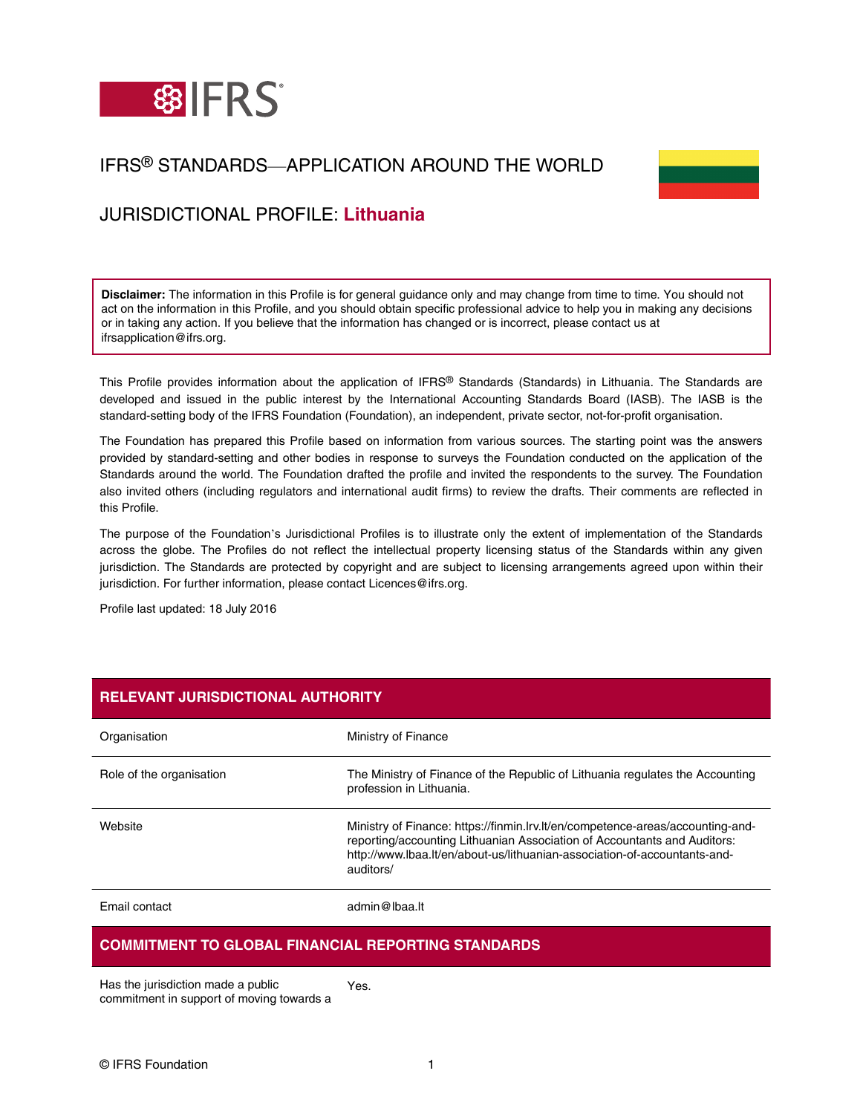

# IFRS® STANDARDS—APPLICATION AROUND THE WORLD



# JURISDICTIONAL PROFILE: **Lithuania**

**Disclaimer:** The information in this Profile is for general guidance only and may change from time to time. You should not act on the information in this Profile, and you should obtain specific professional advice to help you in making any decisions or in taking any action. If you believe that the information has changed or is incorrect, please contact us at ifrsapplication@ifrs.org.

This Profile provides information about the application of IFRS® Standards (Standards) in Lithuania. The Standards are developed and issued in the public interest by the International Accounting Standards Board (IASB). The IASB is the standard-setting body of the IFRS Foundation (Foundation), an independent, private sector, not-for-profit organisation.

The Foundation has prepared this Profile based on information from various sources. The starting point was the answers provided by standard-setting and other bodies in response to surveys the Foundation conducted on the application of the Standards around the world. The Foundation drafted the profile and invited the respondents to the survey. The Foundation also invited others (including regulators and international audit firms) to review the drafts. Their comments are reflected in this Profile.

The purpose of the Foundation's Jurisdictional Profiles is to illustrate only the extent of implementation of the Standards across the globe. The Profiles do not reflect the intellectual property licensing status of the Standards within any given jurisdiction. The Standards are protected by copyright and are subject to licensing arrangements agreed upon within their jurisdiction. For further information, please contact Licences@ifrs.org.

Profile last updated: 18 July 2016

| <b>RELEVANT JURISDICTIONAL AUTHORITY</b> |                                                                                                                                                                                                                                                      |  |
|------------------------------------------|------------------------------------------------------------------------------------------------------------------------------------------------------------------------------------------------------------------------------------------------------|--|
| Organisation                             | Ministry of Finance                                                                                                                                                                                                                                  |  |
| Role of the organisation                 | The Ministry of Finance of the Republic of Lithuania regulates the Accounting<br>profession in Lithuania.                                                                                                                                            |  |
| Website                                  | Ministry of Finance: https://finmin.lrv.lt/en/competence-areas/accounting-and-<br>reporting/accounting Lithuanian Association of Accountants and Auditors:<br>http://www.lbaa.lt/en/about-us/lithuanian-association-of-accountants-and-<br>auditors/ |  |
| <b>Email contact</b>                     | admin@lbaa.lt                                                                                                                                                                                                                                        |  |

### **COMMITMENT TO GLOBAL FINANCIAL REPORTING STANDARDS**

Has the jurisdiction made a public commitment in support of moving towards a Yes.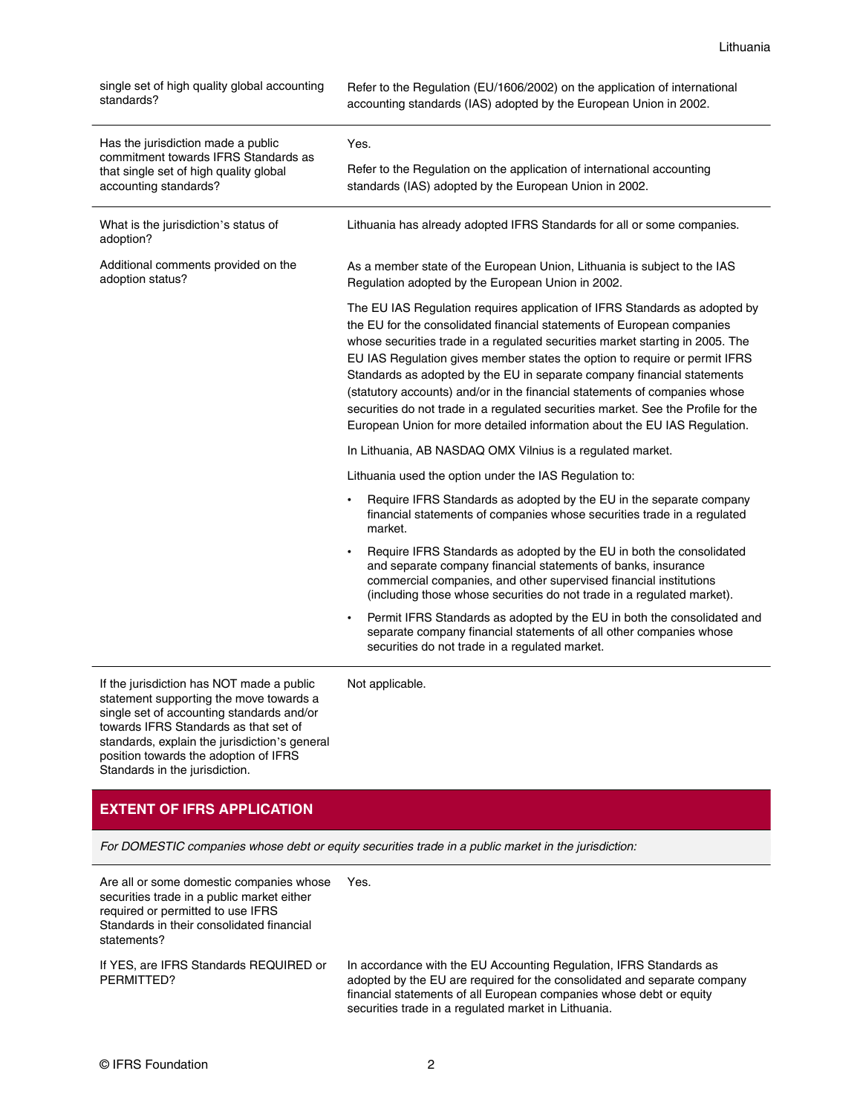single set of high quality global accounting standards?

Refer to the Regulation (EU/1606/2002) on the application of international accounting standards (IAS) adopted by the European Union in 2002.

| Has the jurisdiction made a public<br>commitment towards IFRS Standards as<br>that single set of high quality global<br>accounting standards? | Yes.<br>Refer to the Regulation on the application of international accounting                                                                                                                                                                                                                                                                                                                                                                                                                                                                                                                                                                 |
|-----------------------------------------------------------------------------------------------------------------------------------------------|------------------------------------------------------------------------------------------------------------------------------------------------------------------------------------------------------------------------------------------------------------------------------------------------------------------------------------------------------------------------------------------------------------------------------------------------------------------------------------------------------------------------------------------------------------------------------------------------------------------------------------------------|
|                                                                                                                                               | standards (IAS) adopted by the European Union in 2002.                                                                                                                                                                                                                                                                                                                                                                                                                                                                                                                                                                                         |
| What is the jurisdiction's status of<br>adoption?                                                                                             | Lithuania has already adopted IFRS Standards for all or some companies.                                                                                                                                                                                                                                                                                                                                                                                                                                                                                                                                                                        |
| Additional comments provided on the<br>adoption status?                                                                                       | As a member state of the European Union, Lithuania is subject to the IAS<br>Regulation adopted by the European Union in 2002.                                                                                                                                                                                                                                                                                                                                                                                                                                                                                                                  |
|                                                                                                                                               | The EU IAS Regulation requires application of IFRS Standards as adopted by<br>the EU for the consolidated financial statements of European companies<br>whose securities trade in a regulated securities market starting in 2005. The<br>EU IAS Regulation gives member states the option to require or permit IFRS<br>Standards as adopted by the EU in separate company financial statements<br>(statutory accounts) and/or in the financial statements of companies whose<br>securities do not trade in a regulated securities market. See the Profile for the<br>European Union for more detailed information about the EU IAS Regulation. |
|                                                                                                                                               | In Lithuania, AB NASDAQ OMX Vilnius is a regulated market.                                                                                                                                                                                                                                                                                                                                                                                                                                                                                                                                                                                     |
|                                                                                                                                               | Lithuania used the option under the IAS Regulation to:                                                                                                                                                                                                                                                                                                                                                                                                                                                                                                                                                                                         |
|                                                                                                                                               | Require IFRS Standards as adopted by the EU in the separate company<br>financial statements of companies whose securities trade in a regulated<br>market.                                                                                                                                                                                                                                                                                                                                                                                                                                                                                      |
|                                                                                                                                               | Require IFRS Standards as adopted by the EU in both the consolidated<br>and separate company financial statements of banks, insurance<br>commercial companies, and other supervised financial institutions<br>(including those whose securities do not trade in a regulated market).                                                                                                                                                                                                                                                                                                                                                           |
|                                                                                                                                               | Permit IFRS Standards as adopted by the EU in both the consolidated and<br>separate company financial statements of all other companies whose<br>securities do not trade in a regulated market.                                                                                                                                                                                                                                                                                                                                                                                                                                                |

If the jurisdiction has NOT made a public statement supporting the move towards a single set of accounting standards and/or towards IFRS Standards as that set of standards, explain the jurisdiction's general position towards the adoption of IFRS Standards in the jurisdiction.

Not applicable.

### **EXTENT OF IFRS APPLICATION**

For DOMESTIC companies whose debt or equity securities trade in a public market in the jurisdiction:

Are all or some domestic companies whose securities trade in a public market either required or permitted to use IFRS Standards in their consolidated financial statements? Yes.

If YES, are IFRS Standards REQUIRED or PERMITTED?

In accordance with the EU Accounting Regulation, IFRS Standards as adopted by the EU are required for the consolidated and separate company financial statements of all European companies whose debt or equity securities trade in a regulated market in Lithuania.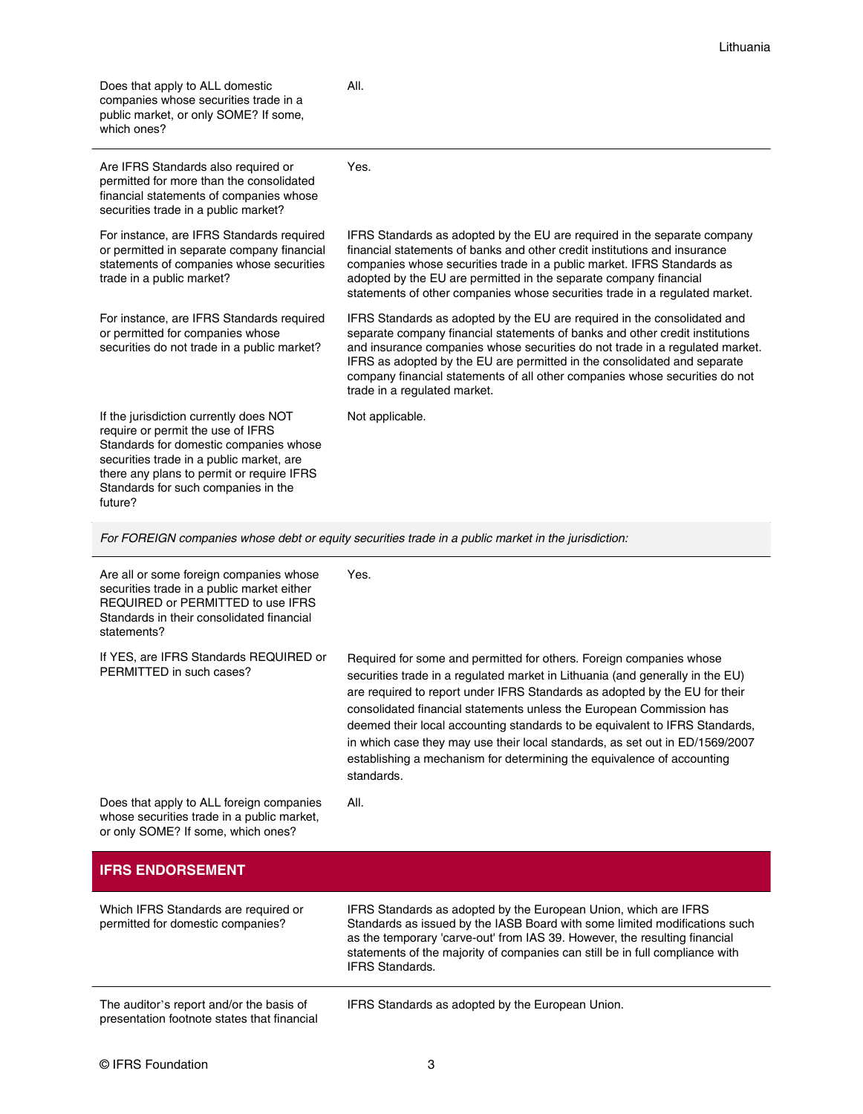| Does that apply to ALL domestic<br>companies whose securities trade in a<br>public market, or only SOME? If some,<br>which ones?                                                                                                                                 | All.                                                                                                                                                                                                                                                                                                                                                                                                                                                                                                                                                              |
|------------------------------------------------------------------------------------------------------------------------------------------------------------------------------------------------------------------------------------------------------------------|-------------------------------------------------------------------------------------------------------------------------------------------------------------------------------------------------------------------------------------------------------------------------------------------------------------------------------------------------------------------------------------------------------------------------------------------------------------------------------------------------------------------------------------------------------------------|
| Are IFRS Standards also required or<br>permitted for more than the consolidated<br>financial statements of companies whose<br>securities trade in a public market?                                                                                               | Yes.                                                                                                                                                                                                                                                                                                                                                                                                                                                                                                                                                              |
| For instance, are IFRS Standards required<br>or permitted in separate company financial<br>statements of companies whose securities<br>trade in a public market?                                                                                                 | IFRS Standards as adopted by the EU are required in the separate company<br>financial statements of banks and other credit institutions and insurance<br>companies whose securities trade in a public market. IFRS Standards as<br>adopted by the EU are permitted in the separate company financial<br>statements of other companies whose securities trade in a regulated market.                                                                                                                                                                               |
| For instance, are IFRS Standards required<br>or permitted for companies whose<br>securities do not trade in a public market?                                                                                                                                     | IFRS Standards as adopted by the EU are required in the consolidated and<br>separate company financial statements of banks and other credit institutions<br>and insurance companies whose securities do not trade in a regulated market.<br>IFRS as adopted by the EU are permitted in the consolidated and separate<br>company financial statements of all other companies whose securities do not<br>trade in a regulated market.                                                                                                                               |
| If the jurisdiction currently does NOT<br>require or permit the use of IFRS<br>Standards for domestic companies whose<br>securities trade in a public market, are<br>there any plans to permit or require IFRS<br>Standards for such companies in the<br>future? | Not applicable.                                                                                                                                                                                                                                                                                                                                                                                                                                                                                                                                                   |
|                                                                                                                                                                                                                                                                  | For FOREIGN companies whose debt or equity securities trade in a public market in the jurisdiction:                                                                                                                                                                                                                                                                                                                                                                                                                                                               |
| Are all or some foreign companies whose<br>securities trade in a public market either<br>REQUIRED or PERMITTED to use IFRS<br>Standards in their consolidated financial<br>statements?                                                                           | Yes.                                                                                                                                                                                                                                                                                                                                                                                                                                                                                                                                                              |
| If YES, are IFRS Standards REQUIRED or<br>PERMITTED in such cases?                                                                                                                                                                                               | Required for some and permitted for others. Foreign companies whose<br>securities trade in a regulated market in Lithuania (and generally in the EU)<br>are required to report under IFRS Standards as adopted by the EU for their<br>consolidated financial statements unless the European Commission has<br>deemed their local accounting standards to be equivalent to IFRS Standards,<br>in which case they may use their local standards, as set out in ED/1569/2007<br>establishing a mechanism for determining the equivalence of accounting<br>standards. |
| Does that apply to ALL foreign companies<br>whose securities trade in a public market,<br>or only SOME? If some, which ones?                                                                                                                                     | All.                                                                                                                                                                                                                                                                                                                                                                                                                                                                                                                                                              |
| <b>IFRS ENDORSEMENT</b>                                                                                                                                                                                                                                          |                                                                                                                                                                                                                                                                                                                                                                                                                                                                                                                                                                   |
| Which IFRS Standards are required or<br>permitted for domestic companies?                                                                                                                                                                                        | IFRS Standards as adopted by the European Union, which are IFRS<br>Standards as issued by the IASB Board with some limited modifications such<br>as the temporary 'carve-out' from IAS 39. However, the resulting financial<br>statements of the majority of companies can still be in full compliance with<br><b>IFRS Standards.</b>                                                                                                                                                                                                                             |
| The auditor's report and/or the basis of<br>presentation footnote states that financial                                                                                                                                                                          | IFRS Standards as adopted by the European Union.                                                                                                                                                                                                                                                                                                                                                                                                                                                                                                                  |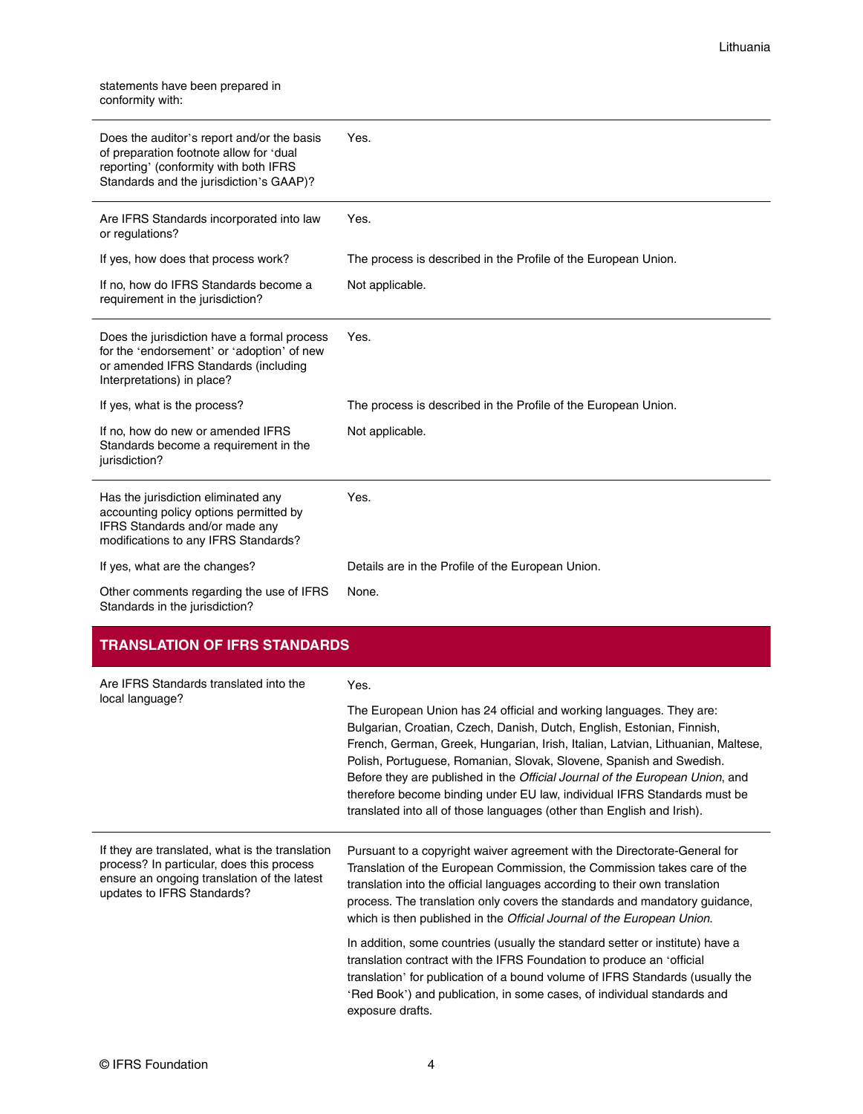statements have been prepared in conformity with:

| Does the auditor's report and/or the basis<br>of preparation footnote allow for 'dual<br>reporting' (conformity with both IFRS<br>Standards and the jurisdiction's GAAP)? | Yes.                                                           |
|---------------------------------------------------------------------------------------------------------------------------------------------------------------------------|----------------------------------------------------------------|
| Are IFRS Standards incorporated into law<br>or regulations?                                                                                                               | Yes.                                                           |
| If yes, how does that process work?                                                                                                                                       | The process is described in the Profile of the European Union. |
| If no, how do IFRS Standards become a<br>requirement in the jurisdiction?                                                                                                 | Not applicable.                                                |
| Does the jurisdiction have a formal process<br>for the 'endorsement' or 'adoption' of new<br>or amended IFRS Standards (including<br>Interpretations) in place?           | Yes.                                                           |
| If yes, what is the process?                                                                                                                                              | The process is described in the Profile of the European Union. |
| If no, how do new or amended IFRS<br>Standards become a requirement in the<br>jurisdiction?                                                                               | Not applicable.                                                |
| Has the jurisdiction eliminated any<br>accounting policy options permitted by<br>IFRS Standards and/or made any<br>modifications to any IFRS Standards?                   | Yes.                                                           |
| If yes, what are the changes?                                                                                                                                             | Details are in the Profile of the European Union.              |
| Other comments regarding the use of IFRS<br>Standards in the jurisdiction?                                                                                                | None.                                                          |

## **TRANSLATION OF IFRS STANDARDS**

| Are IFRS Standards translated into the<br>local language?                                                                                                                 | Yes.                                                                                                                                                                                                                                                                                                                                                                                                                                                                                                                                          |  |
|---------------------------------------------------------------------------------------------------------------------------------------------------------------------------|-----------------------------------------------------------------------------------------------------------------------------------------------------------------------------------------------------------------------------------------------------------------------------------------------------------------------------------------------------------------------------------------------------------------------------------------------------------------------------------------------------------------------------------------------|--|
|                                                                                                                                                                           | The European Union has 24 official and working languages. They are:<br>Bulgarian, Croatian, Czech, Danish, Dutch, English, Estonian, Finnish,<br>French, German, Greek, Hungarian, Irish, Italian, Latvian, Lithuanian, Maltese,<br>Polish, Portuguese, Romanian, Slovak, Slovene, Spanish and Swedish.<br>Before they are published in the Official Journal of the European Union, and<br>therefore become binding under EU law, individual IFRS Standards must be<br>translated into all of those languages (other than English and Irish). |  |
| If they are translated, what is the translation<br>process? In particular, does this process<br>ensure an ongoing translation of the latest<br>updates to IFRS Standards? | Pursuant to a copyright waiver agreement with the Directorate-General for<br>Translation of the European Commission, the Commission takes care of the<br>translation into the official languages according to their own translation<br>process. The translation only covers the standards and mandatory guidance,<br>which is then published in the Official Journal of the European Union.                                                                                                                                                   |  |
|                                                                                                                                                                           | In addition, some countries (usually the standard setter or institute) have a<br>translation contract with the IFRS Foundation to produce an 'official<br>translation' for publication of a bound volume of IFRS Standards (usually the<br>'Red Book') and publication, in some cases, of individual standards and<br>exposure drafts.                                                                                                                                                                                                        |  |